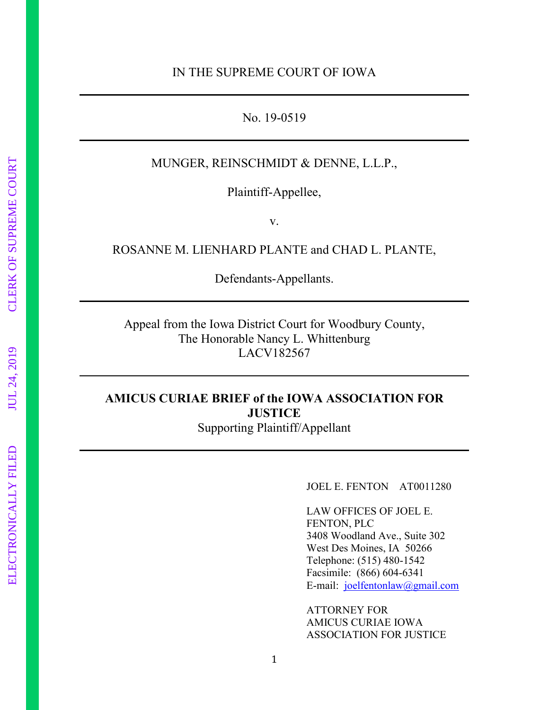#### No. 19-0519

## MUNGER, REINSCHMIDT & DENNE, L.L.P.,

Plaintiff-Appellee,

v.

ROSANNE M. LIENHARD PLANTE and CHAD L. PLANTE,

Defendants-Appellants.

Appeal from the Iowa District Court for Woodbury County, The Honorable Nancy L. Whittenburg LACV182567

## **AMICUS CURIAE BRIEF of the IOWA ASSOCIATION FOR JUSTICE**  Supporting Plaintiff/Appellant

JOEL E. FENTON AT0011280

LAW OFFICES OF JOEL E. FENTON, PLC 3408 Woodland Ave., Suite 302 West Des Moines, IA 50266 Telephone: (515) 480-1542 Facsimile: (866) 604-6341 E-mail: [joelfentonlaw@gmail.com](mailto:joelfentonlaw@gmail.com)

ATTORNEY FOR AMICUS CURIAE IOWA ASSOCIATION FOR JUSTICE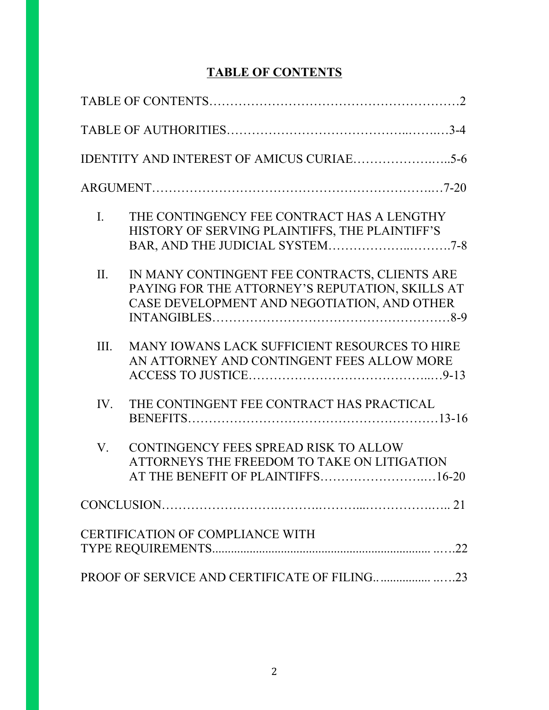# **TABLE OF CONTENTS**

| $\mathbf{I}$ . | THE CONTINGENCY FEE CONTRACT HAS A LENGTHY<br>HISTORY OF SERVING PLAINTIFFS, THE PLAINTIFF'S                                                    |
|----------------|-------------------------------------------------------------------------------------------------------------------------------------------------|
| II.            | IN MANY CONTINGENT FEE CONTRACTS, CLIENTS ARE<br>PAYING FOR THE ATTORNEY'S REPUTATION, SKILLS AT<br>CASE DEVELOPMENT AND NEGOTIATION, AND OTHER |
| III.           | MANY IOWANS LACK SUFFICIENT RESOURCES TO HIRE<br>AN ATTORNEY AND CONTINGENT FEES ALLOW MORE                                                     |
| IV.            | THE CONTINGENT FEE CONTRACT HAS PRACTICAL                                                                                                       |
| V.             | CONTINGENCY FEES SPREAD RISK TO ALLOW<br>ATTORNEYS THE FREEDOM TO TAKE ON LITIGATION<br>AT THE BENEFIT OF PLAINTIFFS16-20                       |
|                |                                                                                                                                                 |
|                | CERTIFICATION OF COMPLIANCE WITH                                                                                                                |
|                |                                                                                                                                                 |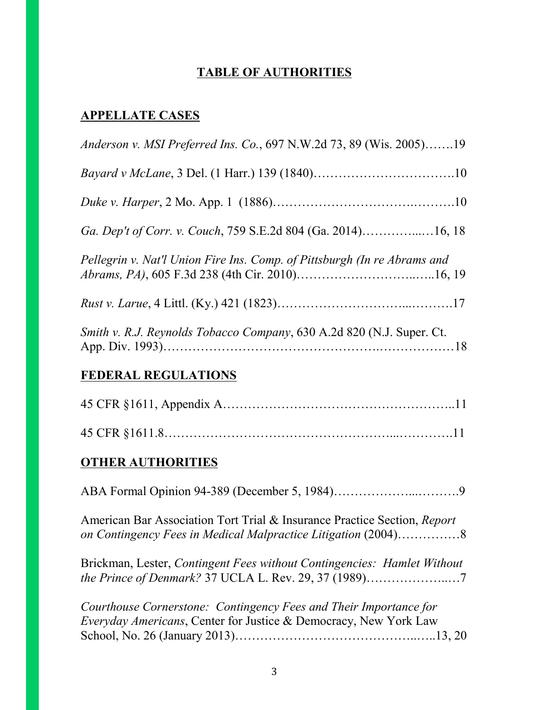# **TABLE OF AUTHORITIES**

# **APPELLATE CASES**

| <i>Anderson v. MSI Preferred Ins. Co.</i> , 697 N.W.2d 73, 89 (Wis. 2005)19                                                               |
|-------------------------------------------------------------------------------------------------------------------------------------------|
|                                                                                                                                           |
|                                                                                                                                           |
| Ga. Dep't of Corr. v. Couch, 759 S.E.2d 804 (Ga. 2014)16, 18                                                                              |
| Pellegrin v. Nat'l Union Fire Ins. Comp. of Pittsburgh (In re Abrams and                                                                  |
|                                                                                                                                           |
| Smith v. R.J. Reynolds Tobacco Company, 630 A.2d 820 (N.J. Super. Ct.                                                                     |
| <b>FEDERAL REGULATIONS</b>                                                                                                                |
|                                                                                                                                           |
|                                                                                                                                           |
| <b>OTHER AUTHORITIES</b>                                                                                                                  |
|                                                                                                                                           |
| American Bar Association Tort Trial & Insurance Practice Section, Report<br>on Contingency Fees in Medical Malpractice Litigation (2004)8 |
| Brickman, Lester, Contingent Fees without Contingencies: Hamlet Without<br>the Prince of Denmark? 37 UCLA L. Rev. 29, 37 (1989)7          |

*Courthouse Cornerstone: Contingency Fees and Their Importance for Everyday Americans*, Center for Justice & Democracy, New York Law School, No. 26 (January 2013)……………………………………..…..13, 20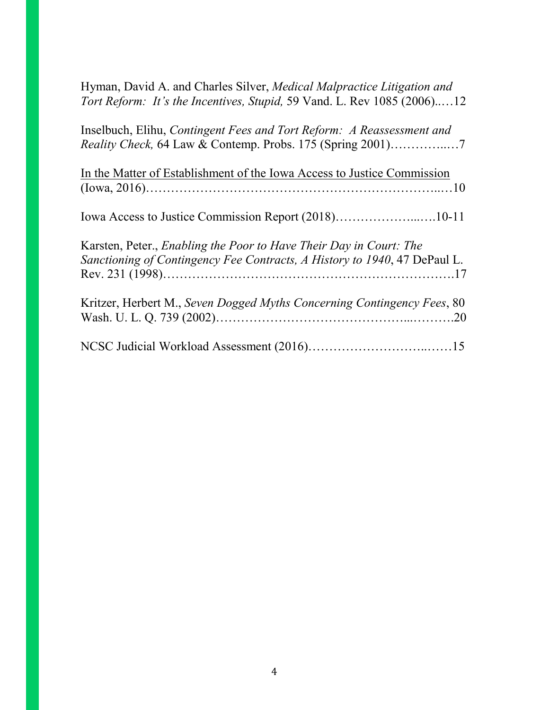| Hyman, David A. and Charles Silver, Medical Malpractice Litigation and<br>Tort Reform: It's the Incentives, Stupid, 59 Vand. L. Rev 1085 (2006)12      |  |
|--------------------------------------------------------------------------------------------------------------------------------------------------------|--|
| Inselbuch, Elihu, Contingent Fees and Tort Reform: A Reassessment and                                                                                  |  |
| In the Matter of Establishment of the Iowa Access to Justice Commission                                                                                |  |
|                                                                                                                                                        |  |
| Karsten, Peter., <i>Enabling the Poor to Have Their Day in Court: The</i><br>Sanctioning of Contingency Fee Contracts, A History to 1940, 47 DePaul L. |  |
| Kritzer, Herbert M., Seven Dogged Myths Concerning Contingency Fees, 80                                                                                |  |
|                                                                                                                                                        |  |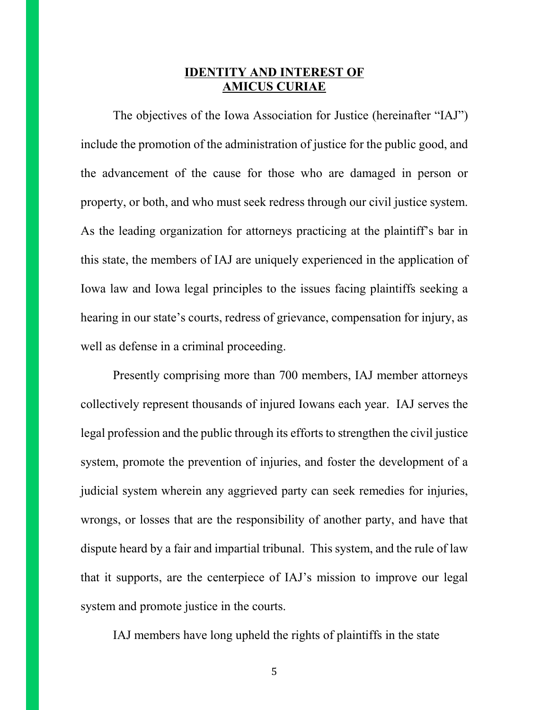## **IDENTITY AND INTEREST OF AMICUS CURIAE**

The objectives of the Iowa Association for Justice (hereinafter "IAJ") include the promotion of the administration of justice for the public good, and the advancement of the cause for those who are damaged in person or property, or both, and who must seek redress through our civil justice system. As the leading organization for attorneys practicing at the plaintiff's bar in this state, the members of IAJ are uniquely experienced in the application of Iowa law and Iowa legal principles to the issues facing plaintiffs seeking a hearing in our state's courts, redress of grievance, compensation for injury, as well as defense in a criminal proceeding.

Presently comprising more than 700 members, IAJ member attorneys collectively represent thousands of injured Iowans each year. IAJ serves the legal profession and the public through its efforts to strengthen the civil justice system, promote the prevention of injuries, and foster the development of a judicial system wherein any aggrieved party can seek remedies for injuries, wrongs, or losses that are the responsibility of another party, and have that dispute heard by a fair and impartial tribunal. This system, and the rule of law that it supports, are the centerpiece of IAJ's mission to improve our legal system and promote justice in the courts.

IAJ members have long upheld the rights of plaintiffs in the state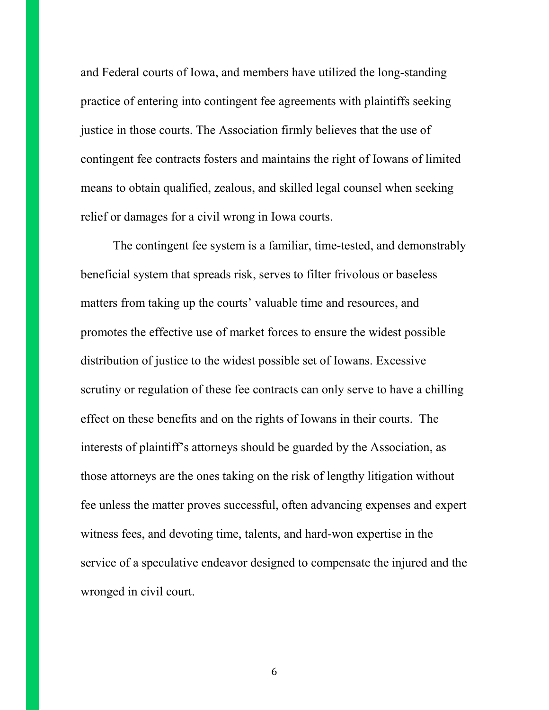and Federal courts of Iowa, and members have utilized the long-standing practice of entering into contingent fee agreements with plaintiffs seeking justice in those courts. The Association firmly believes that the use of contingent fee contracts fosters and maintains the right of Iowans of limited means to obtain qualified, zealous, and skilled legal counsel when seeking relief or damages for a civil wrong in Iowa courts.

The contingent fee system is a familiar, time-tested, and demonstrably beneficial system that spreads risk, serves to filter frivolous or baseless matters from taking up the courts' valuable time and resources, and promotes the effective use of market forces to ensure the widest possible distribution of justice to the widest possible set of Iowans. Excessive scrutiny or regulation of these fee contracts can only serve to have a chilling effect on these benefits and on the rights of Iowans in their courts. The interests of plaintiff's attorneys should be guarded by the Association, as those attorneys are the ones taking on the risk of lengthy litigation without fee unless the matter proves successful, often advancing expenses and expert witness fees, and devoting time, talents, and hard-won expertise in the service of a speculative endeavor designed to compensate the injured and the wronged in civil court.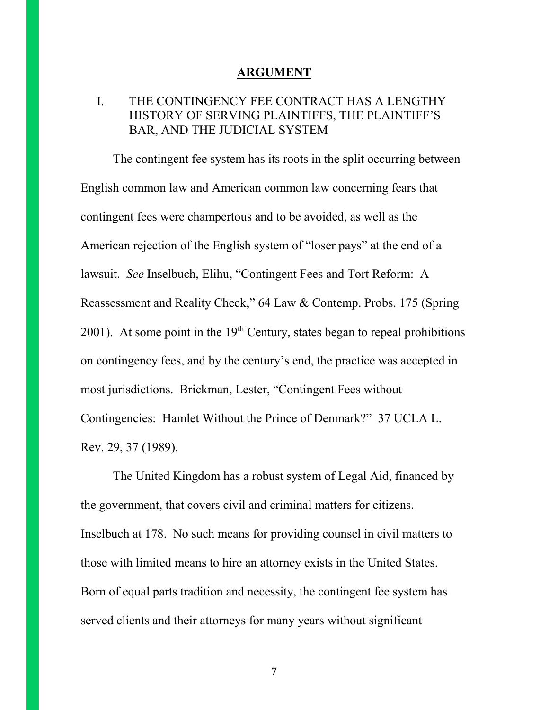#### **ARGUMENT**

# I. THE CONTINGENCY FEE CONTRACT HAS A LENGTHY HISTORY OF SERVING PLAINTIFFS, THE PLAINTIFF'S BAR, AND THE JUDICIAL SYSTEM

The contingent fee system has its roots in the split occurring between English common law and American common law concerning fears that contingent fees were champertous and to be avoided, as well as the American rejection of the English system of "loser pays" at the end of a lawsuit. *See* Inselbuch, Elihu, "Contingent Fees and Tort Reform: A Reassessment and Reality Check," 64 Law & Contemp. Probs. 175 (Spring 2001). At some point in the  $19<sup>th</sup>$  Century, states began to repeal prohibitions on contingency fees, and by the century's end, the practice was accepted in most jurisdictions. Brickman, Lester, "Contingent Fees without Contingencies: Hamlet Without the Prince of Denmark?" 37 UCLA L. Rev. 29, 37 (1989).

The United Kingdom has a robust system of Legal Aid, financed by the government, that covers civil and criminal matters for citizens. Inselbuch at 178. No such means for providing counsel in civil matters to those with limited means to hire an attorney exists in the United States. Born of equal parts tradition and necessity, the contingent fee system has served clients and their attorneys for many years without significant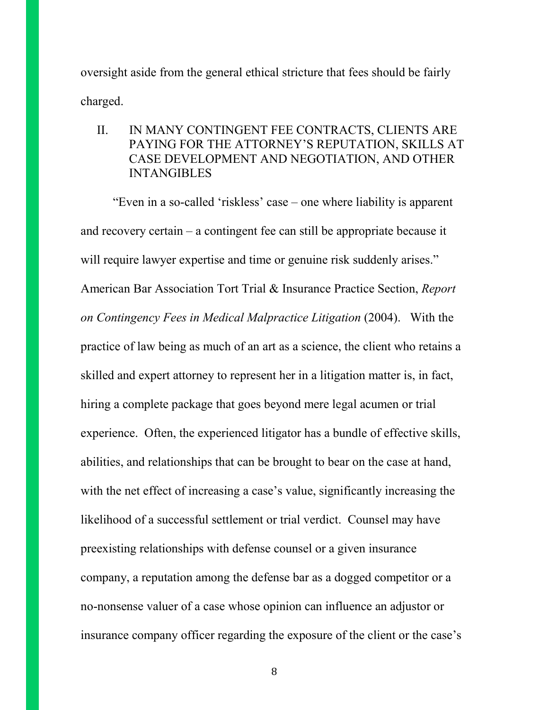oversight aside from the general ethical stricture that fees should be fairly charged.

II. IN MANY CONTINGENT FEE CONTRACTS, CLIENTS ARE PAYING FOR THE ATTORNEY'S REPUTATION, SKILLS AT CASE DEVELOPMENT AND NEGOTIATION, AND OTHER **INTANGIBLES** 

"Even in a so-called 'riskless' case – one where liability is apparent and recovery certain – a contingent fee can still be appropriate because it will require lawyer expertise and time or genuine risk suddenly arises." American Bar Association Tort Trial & Insurance Practice Section, *Report on Contingency Fees in Medical Malpractice Litigation* (2004). With the practice of law being as much of an art as a science, the client who retains a skilled and expert attorney to represent her in a litigation matter is, in fact, hiring a complete package that goes beyond mere legal acumen or trial experience. Often, the experienced litigator has a bundle of effective skills, abilities, and relationships that can be brought to bear on the case at hand, with the net effect of increasing a case's value, significantly increasing the likelihood of a successful settlement or trial verdict. Counsel may have preexisting relationships with defense counsel or a given insurance company, a reputation among the defense bar as a dogged competitor or a no-nonsense valuer of a case whose opinion can influence an adjustor or insurance company officer regarding the exposure of the client or the case's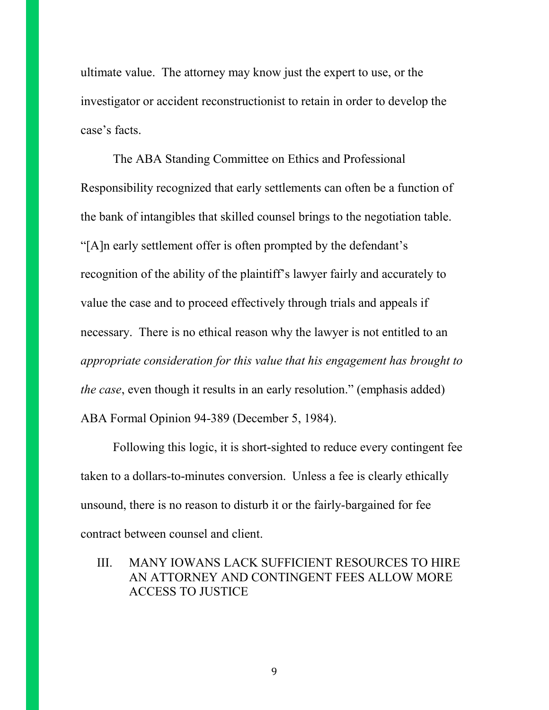ultimate value. The attorney may know just the expert to use, or the investigator or accident reconstructionist to retain in order to develop the case's facts.

The ABA Standing Committee on Ethics and Professional Responsibility recognized that early settlements can often be a function of the bank of intangibles that skilled counsel brings to the negotiation table. "[A]n early settlement offer is often prompted by the defendant's recognition of the ability of the plaintiff's lawyer fairly and accurately to value the case and to proceed effectively through trials and appeals if necessary. There is no ethical reason why the lawyer is not entitled to an *appropriate consideration for this value that his engagement has brought to the case*, even though it results in an early resolution." (emphasis added) ABA Formal Opinion 94-389 (December 5, 1984).

Following this logic, it is short-sighted to reduce every contingent fee taken to a dollars-to-minutes conversion. Unless a fee is clearly ethically unsound, there is no reason to disturb it or the fairly-bargained for fee contract between counsel and client.

III. MANY IOWANS LACK SUFFICIENT RESOURCES TO HIRE AN ATTORNEY AND CONTINGENT FEES ALLOW MORE ACCESS TO JUSTICE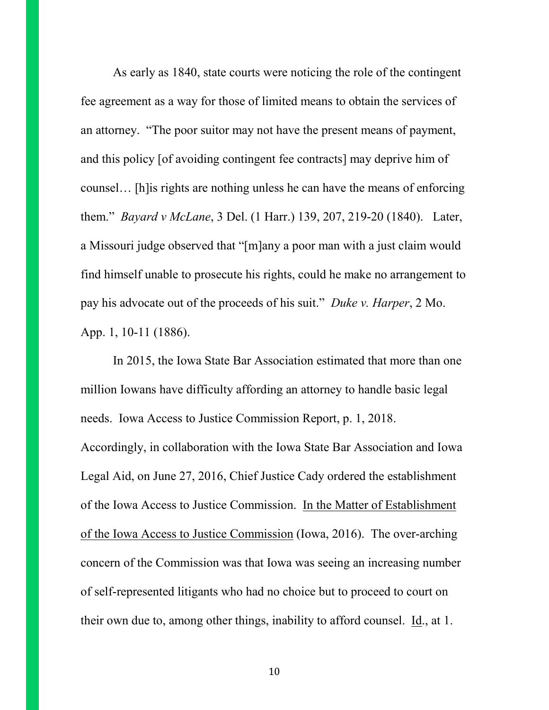As early as 1840, state courts were noticing the role of the contingent fee agreement as a way for those of limited means to obtain the services of an attorney. "The poor suitor may not have the present means of payment, and this policy [of avoiding contingent fee contracts] may deprive him of counsel… [h]is rights are nothing unless he can have the means of enforcing them." *Bayard v McLane*, 3 Del. (1 Harr.) 139, 207, 219-20 (1840). Later, a Missouri judge observed that "[m]any a poor man with a just claim would find himself unable to prosecute his rights, could he make no arrangement to pay his advocate out of the proceeds of his suit." *Duke v. Harper*, 2 Mo. App. 1, 10-11 (1886).

In 2015, the Iowa State Bar Association estimated that more than one million Iowans have difficulty affording an attorney to handle basic legal needs. Iowa Access to Justice Commission Report, p. 1, 2018. Accordingly, in collaboration with the Iowa State Bar Association and Iowa Legal Aid, on June 27, 2016, Chief Justice Cady ordered the establishment of the Iowa Access to Justice Commission. In the Matter of Establishment of the Iowa Access to Justice Commission (Iowa, 2016). The over-arching concern of the Commission was that Iowa was seeing an increasing number of self-represented litigants who had no choice but to proceed to court on their own due to, among other things, inability to afford counsel. Id., at 1.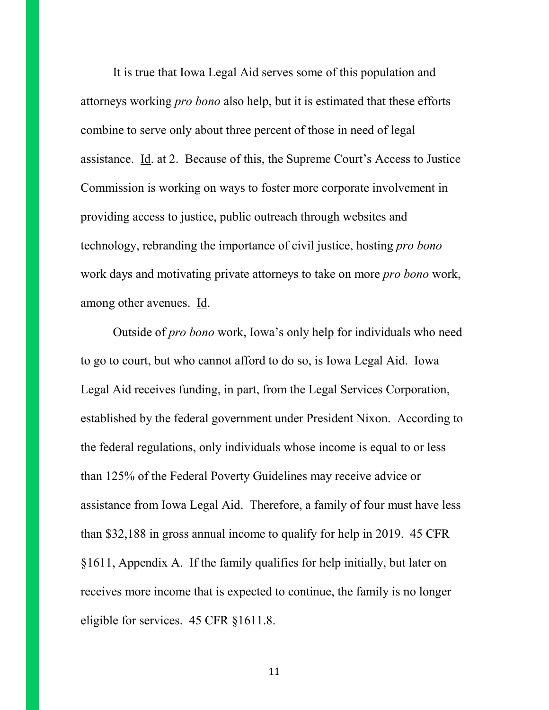It is true that Iowa Legal Aid serves some of this population and attorneys working *pro bono* also help, but it is estimated that these efforts combine to serve only about three percent of those in need of legal assistance. Id. at 2. Because of this, the Supreme Court's Access to Justice Commission is working on ways to foster more corporate involvement in providing access to justice, public outreach through websites and technology, rebranding the importance of civil justice, hosting *pro bono* work days and motivating private attorneys to take on more *pro bono* work, among other avenues. Id.

Outside of *pro bono* work, Iowa's only help for individuals who need to go to court, but who cannot afford to do so, is Iowa Legal Aid. Iowa Legal Aid receives funding, in part, from the Legal Services Corporation, established by the federal government under President Nixon. According to the federal regulations, only individuals whose income is equal to or less than 125% of the Federal Poverty Guidelines may receive advice or assistance from Iowa Legal Aid. Therefore, a family of four must have less than \$32,188 in gross annual income to qualify for help in 2019. 45 CFR §1611, Appendix A. If the family qualifies for help initially, but later on receives more income that is expected to continue, the family is no longer eligible for services. 45 CFR §1611.8.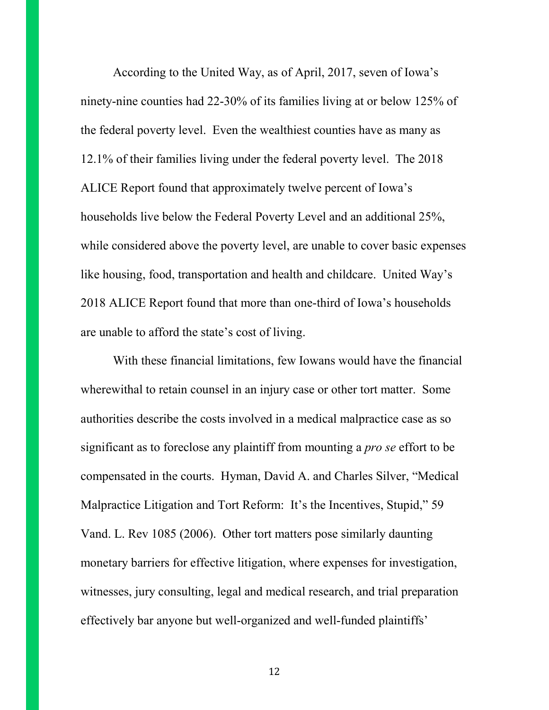According to the United Way, as of April, 2017, seven of Iowa's ninety-nine counties had 22-30% of its families living at or below 125% of the federal poverty level. Even the wealthiest counties have as many as 12.1% of their families living under the federal poverty level. The 2018 ALICE Report found that approximately twelve percent of Iowa's households live below the Federal Poverty Level and an additional 25%, while considered above the poverty level, are unable to cover basic expenses like housing, food, transportation and health and childcare. United Way's 2018 ALICE Report found that more than one-third of Iowa's households are unable to afford the state's cost of living.

With these financial limitations, few Iowans would have the financial wherewithal to retain counsel in an injury case or other tort matter. Some authorities describe the costs involved in a medical malpractice case as so significant as to foreclose any plaintiff from mounting a *pro se* effort to be compensated in the courts. Hyman, David A. and Charles Silver, "Medical Malpractice Litigation and Tort Reform: It's the Incentives, Stupid," 59 Vand. L. Rev 1085 (2006). Other tort matters pose similarly daunting monetary barriers for effective litigation, where expenses for investigation, witnesses, jury consulting, legal and medical research, and trial preparation effectively bar anyone but well-organized and well-funded plaintiffs'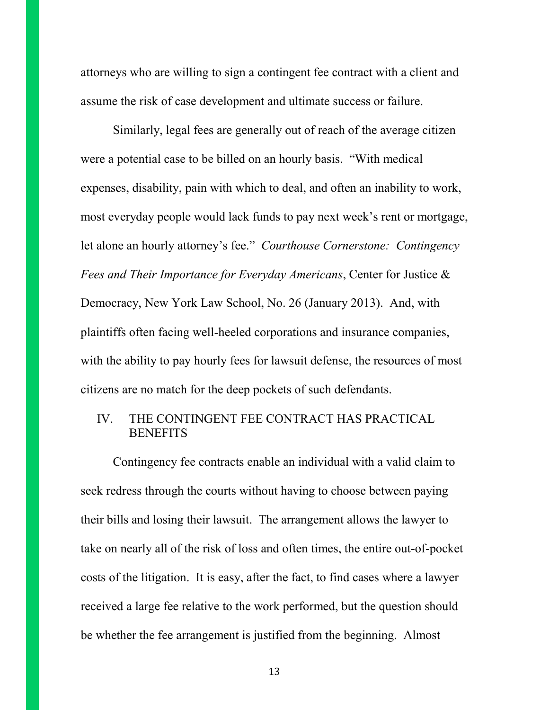attorneys who are willing to sign a contingent fee contract with a client and assume the risk of case development and ultimate success or failure.

Similarly, legal fees are generally out of reach of the average citizen were a potential case to be billed on an hourly basis. "With medical expenses, disability, pain with which to deal, and often an inability to work, most everyday people would lack funds to pay next week's rent or mortgage, let alone an hourly attorney's fee." *Courthouse Cornerstone: Contingency Fees and Their Importance for Everyday Americans*, Center for Justice & Democracy, New York Law School, No. 26 (January 2013). And, with plaintiffs often facing well-heeled corporations and insurance companies, with the ability to pay hourly fees for lawsuit defense, the resources of most citizens are no match for the deep pockets of such defendants.

## IV. THE CONTINGENT FEE CONTRACT HAS PRACTICAL **BENEFITS**

Contingency fee contracts enable an individual with a valid claim to seek redress through the courts without having to choose between paying their bills and losing their lawsuit. The arrangement allows the lawyer to take on nearly all of the risk of loss and often times, the entire out-of-pocket costs of the litigation. It is easy, after the fact, to find cases where a lawyer received a large fee relative to the work performed, but the question should be whether the fee arrangement is justified from the beginning. Almost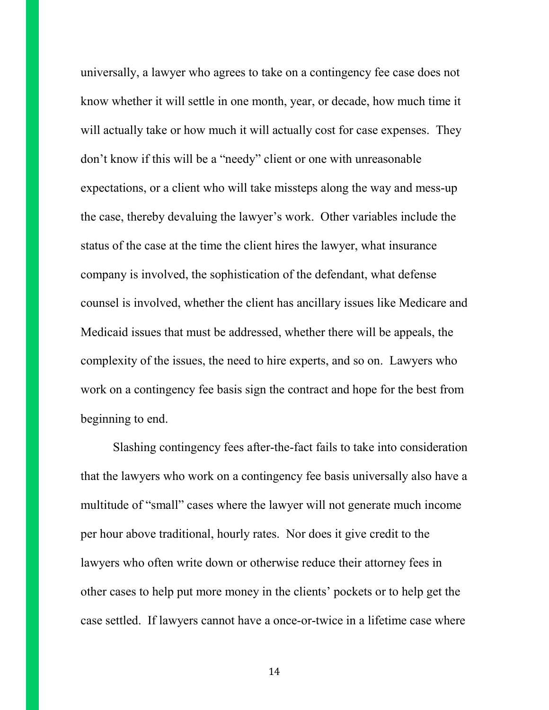universally, a lawyer who agrees to take on a contingency fee case does not know whether it will settle in one month, year, or decade, how much time it will actually take or how much it will actually cost for case expenses. They don't know if this will be a "needy" client or one with unreasonable expectations, or a client who will take missteps along the way and mess-up the case, thereby devaluing the lawyer's work. Other variables include the status of the case at the time the client hires the lawyer, what insurance company is involved, the sophistication of the defendant, what defense counsel is involved, whether the client has ancillary issues like Medicare and Medicaid issues that must be addressed, whether there will be appeals, the complexity of the issues, the need to hire experts, and so on. Lawyers who work on a contingency fee basis sign the contract and hope for the best from beginning to end.

Slashing contingency fees after-the-fact fails to take into consideration that the lawyers who work on a contingency fee basis universally also have a multitude of "small" cases where the lawyer will not generate much income per hour above traditional, hourly rates. Nor does it give credit to the lawyers who often write down or otherwise reduce their attorney fees in other cases to help put more money in the clients' pockets or to help get the case settled. If lawyers cannot have a once-or-twice in a lifetime case where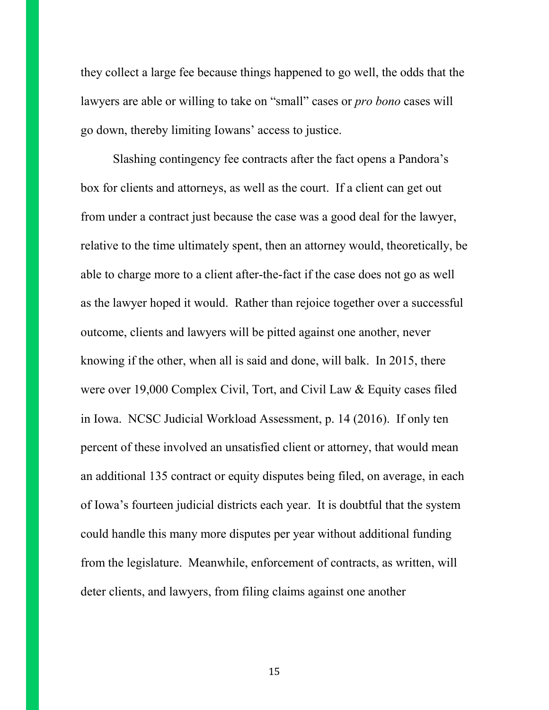they collect a large fee because things happened to go well, the odds that the lawyers are able or willing to take on "small" cases or *pro bono* cases will go down, thereby limiting Iowans' access to justice.

Slashing contingency fee contracts after the fact opens a Pandora's box for clients and attorneys, as well as the court. If a client can get out from under a contract just because the case was a good deal for the lawyer, relative to the time ultimately spent, then an attorney would, theoretically, be able to charge more to a client after-the-fact if the case does not go as well as the lawyer hoped it would. Rather than rejoice together over a successful outcome, clients and lawyers will be pitted against one another, never knowing if the other, when all is said and done, will balk. In 2015, there were over 19,000 Complex Civil, Tort, and Civil Law & Equity cases filed in Iowa. NCSC Judicial Workload Assessment, p. 14 (2016). If only ten percent of these involved an unsatisfied client or attorney, that would mean an additional 135 contract or equity disputes being filed, on average, in each of Iowa's fourteen judicial districts each year. It is doubtful that the system could handle this many more disputes per year without additional funding from the legislature. Meanwhile, enforcement of contracts, as written, will deter clients, and lawyers, from filing claims against one another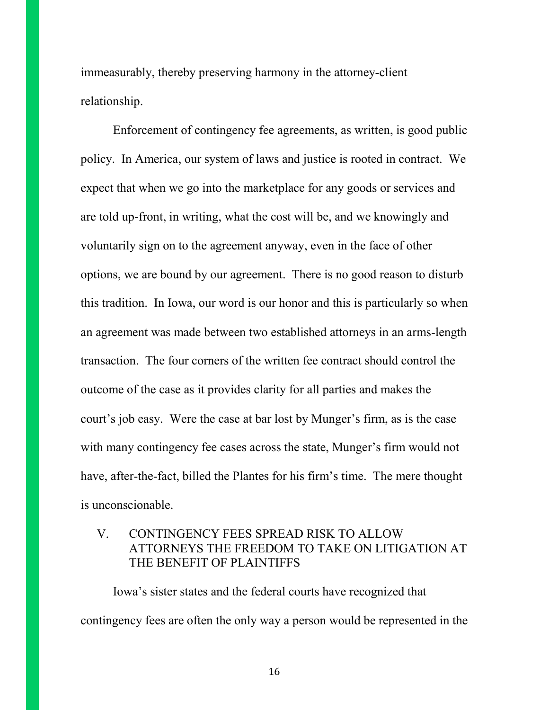immeasurably, thereby preserving harmony in the attorney-client relationship.

Enforcement of contingency fee agreements, as written, is good public policy. In America, our system of laws and justice is rooted in contract. We expect that when we go into the marketplace for any goods or services and are told up-front, in writing, what the cost will be, and we knowingly and voluntarily sign on to the agreement anyway, even in the face of other options, we are bound by our agreement. There is no good reason to disturb this tradition. In Iowa, our word is our honor and this is particularly so when an agreement was made between two established attorneys in an arms-length transaction. The four corners of the written fee contract should control the outcome of the case as it provides clarity for all parties and makes the court's job easy. Were the case at bar lost by Munger's firm, as is the case with many contingency fee cases across the state, Munger's firm would not have, after-the-fact, billed the Plantes for his firm's time. The mere thought is unconscionable.

# V. CONTINGENCY FEES SPREAD RISK TO ALLOW ATTORNEYS THE FREEDOM TO TAKE ON LITIGATION AT THE BENEFIT OF PLAINTIFFS

Iowa's sister states and the federal courts have recognized that contingency fees are often the only way a person would be represented in the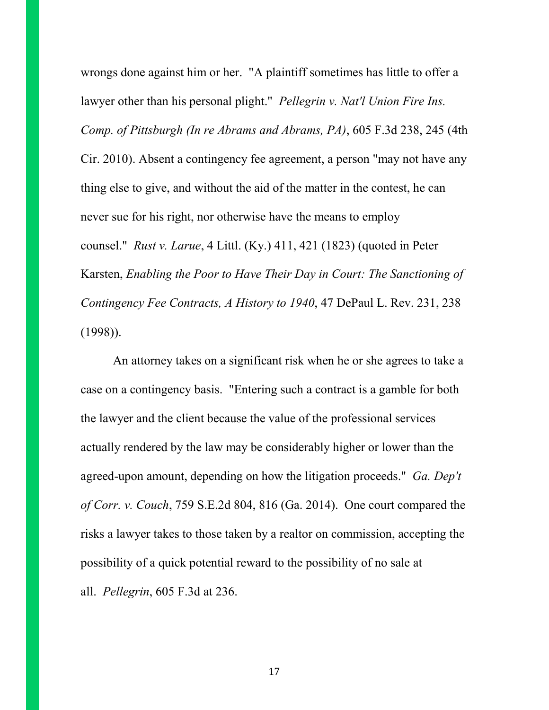wrongs done against him or her. "A plaintiff sometimes has little to offer a lawyer other than his personal plight." *Pellegrin v. Nat'l Union Fire Ins. Comp. of Pittsburgh (In re Abrams and Abrams, PA)*, 605 F.3d 238, 245 (4th Cir. 2010). Absent a contingency fee agreement, a person "may not have any thing else to give, and without the aid of the matter in the contest, he can never sue for his right, nor otherwise have the means to employ counsel." *Rust v. Larue*, 4 Littl. (Ky.) 411, 421 (1823) (quoted in Peter Karsten, *Enabling the Poor to Have Their Day in Court: The Sanctioning of Contingency Fee Contracts, A History to 1940*, 47 DePaul L. Rev. 231, 238 (1998)).

An attorney takes on a significant risk when he or she agrees to take a case on a contingency basis. "Entering such a contract is a gamble for both the lawyer and the client because the value of the professional services actually rendered by the law may be considerably higher or lower than the agreed-upon amount, depending on how the litigation proceeds." *Ga. Dep't of Corr. v. Couch*, 759 S.E.2d 804, 816 (Ga. 2014). One court compared the risks a lawyer takes to those taken by a realtor on commission, accepting the possibility of a quick potential reward to the possibility of no sale at all. *Pellegrin*, 605 F.3d at 236.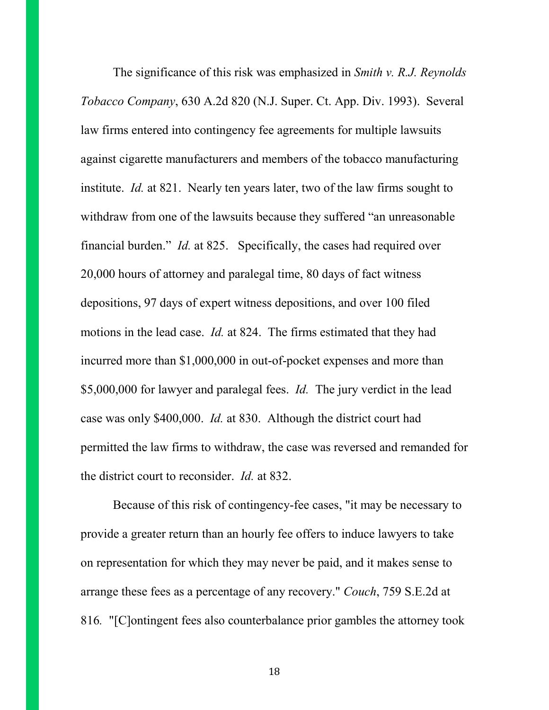The significance of this risk was emphasized in *Smith v. R.J. Reynolds Tobacco Company*, 630 A.2d 820 (N.J. Super. Ct. App. Div. 1993). Several law firms entered into contingency fee agreements for multiple lawsuits against cigarette manufacturers and members of the tobacco manufacturing institute. *Id.* at 821. Nearly ten years later, two of the law firms sought to withdraw from one of the lawsuits because they suffered "an unreasonable financial burden." *Id.* at 825. Specifically, the cases had required over 20,000 hours of attorney and paralegal time, 80 days of fact witness depositions, 97 days of expert witness depositions, and over 100 filed motions in the lead case. *Id.* at 824. The firms estimated that they had incurred more than \$1,000,000 in out-of-pocket expenses and more than \$5,000,000 for lawyer and paralegal fees. *Id.* The jury verdict in the lead case was only \$400,000. *Id.* at 830. Although the district court had permitted the law firms to withdraw, the case was reversed and remanded for the district court to reconsider. *Id.* at 832.

Because of this risk of contingency-fee cases, "it may be necessary to provide a greater return than an hourly fee offers to induce lawyers to take on representation for which they may never be paid, and it makes sense to arrange these fees as a percentage of any recovery." *Couch*, 759 S.E.2d at 816*.* "[C]ontingent fees also counterbalance prior gambles the attorney took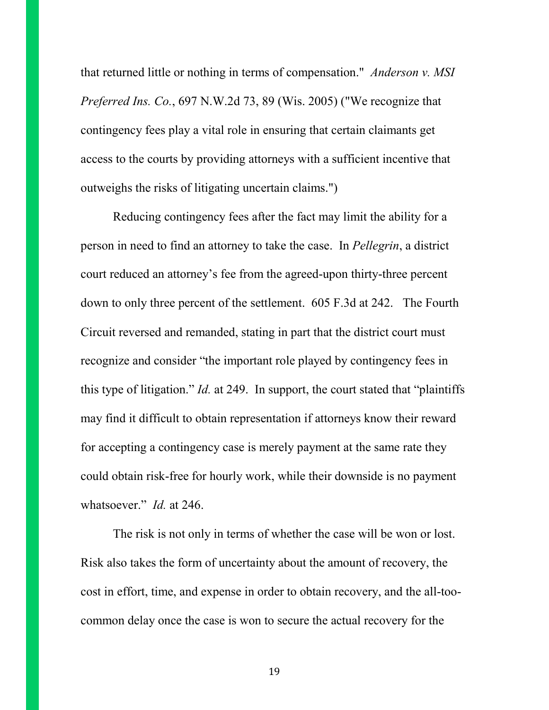that returned little or nothing in terms of compensation." *Anderson v. MSI Preferred Ins. Co.*, 697 N.W.2d 73, 89 (Wis. 2005) ("We recognize that contingency fees play a vital role in ensuring that certain claimants get access to the courts by providing attorneys with a sufficient incentive that outweighs the risks of litigating uncertain claims.")

Reducing contingency fees after the fact may limit the ability for a person in need to find an attorney to take the case. In *Pellegrin*, a district court reduced an attorney's fee from the agreed-upon thirty-three percent down to only three percent of the settlement. 605 F.3d at 242. The Fourth Circuit reversed and remanded, stating in part that the district court must recognize and consider "the important role played by contingency fees in this type of litigation." *Id.* at 249. In support, the court stated that "plaintiffs may find it difficult to obtain representation if attorneys know their reward for accepting a contingency case is merely payment at the same rate they could obtain risk-free for hourly work, while their downside is no payment whatsoever." *Id.* at 246.

The risk is not only in terms of whether the case will be won or lost. Risk also takes the form of uncertainty about the amount of recovery, the cost in effort, time, and expense in order to obtain recovery, and the all-toocommon delay once the case is won to secure the actual recovery for the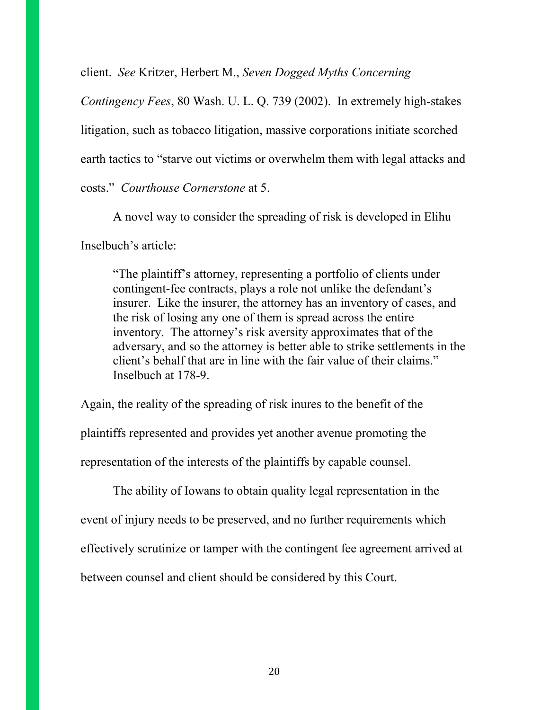client. *See* Kritzer, Herbert M., *Seven Dogged Myths Concerning* 

*Contingency Fees*, 80 Wash. U. L. Q. 739 (2002). In extremely high-stakes litigation, such as tobacco litigation, massive corporations initiate scorched earth tactics to "starve out victims or overwhelm them with legal attacks and costs." *Courthouse Cornerstone* at 5.

A novel way to consider the spreading of risk is developed in Elihu Inselbuch's article:

"The plaintiff's attorney, representing a portfolio of clients under contingent-fee contracts, plays a role not unlike the defendant's insurer. Like the insurer, the attorney has an inventory of cases, and the risk of losing any one of them is spread across the entire inventory. The attorney's risk aversity approximates that of the adversary, and so the attorney is better able to strike settlements in the client's behalf that are in line with the fair value of their claims." Inselbuch at 178-9.

Again, the reality of the spreading of risk inures to the benefit of the plaintiffs represented and provides yet another avenue promoting the representation of the interests of the plaintiffs by capable counsel.

The ability of Iowans to obtain quality legal representation in the event of injury needs to be preserved, and no further requirements which effectively scrutinize or tamper with the contingent fee agreement arrived at between counsel and client should be considered by this Court.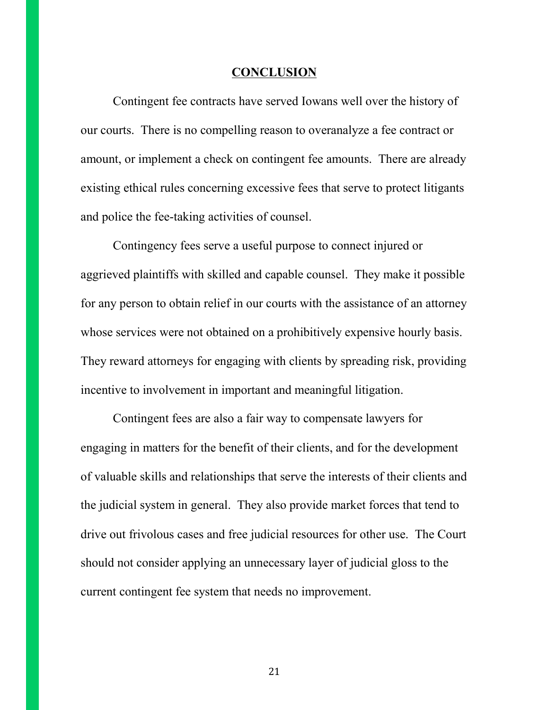#### **CONCLUSION**

Contingent fee contracts have served Iowans well over the history of our courts. There is no compelling reason to overanalyze a fee contract or amount, or implement a check on contingent fee amounts. There are already existing ethical rules concerning excessive fees that serve to protect litigants and police the fee-taking activities of counsel.

Contingency fees serve a useful purpose to connect injured or aggrieved plaintiffs with skilled and capable counsel. They make it possible for any person to obtain relief in our courts with the assistance of an attorney whose services were not obtained on a prohibitively expensive hourly basis. They reward attorneys for engaging with clients by spreading risk, providing incentive to involvement in important and meaningful litigation.

Contingent fees are also a fair way to compensate lawyers for engaging in matters for the benefit of their clients, and for the development of valuable skills and relationships that serve the interests of their clients and the judicial system in general. They also provide market forces that tend to drive out frivolous cases and free judicial resources for other use. The Court should not consider applying an unnecessary layer of judicial gloss to the current contingent fee system that needs no improvement.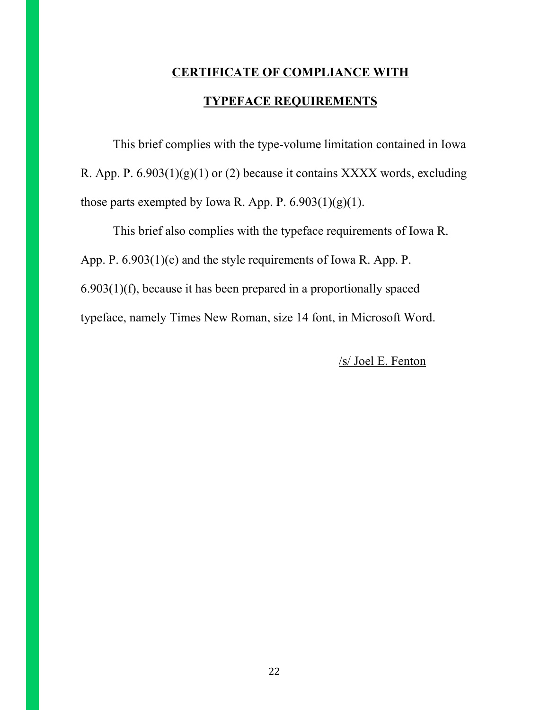# **CERTIFICATE OF COMPLIANCE WITH TYPEFACE REQUIREMENTS**

This brief complies with the type-volume limitation contained in Iowa R. App. P.  $6.903(1)(g)(1)$  or (2) because it contains XXXX words, excluding those parts exempted by Iowa R. App. P.  $6.903(1)(g)(1)$ .

This brief also complies with the typeface requirements of Iowa R. App. P. 6.903(1)(e) and the style requirements of Iowa R. App. P. 6.903(1)(f), because it has been prepared in a proportionally spaced typeface, namely Times New Roman, size 14 font, in Microsoft Word.

/s/ Joel E. Fenton